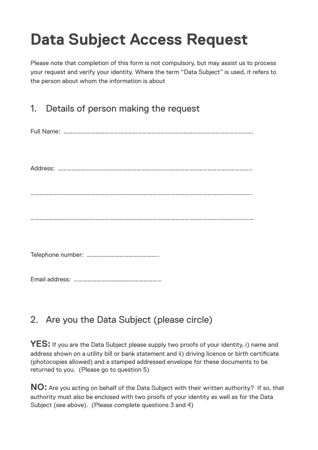## **Data Subject Access Request**

Please note that completion of this form is not compulsory, but may assist us to process your request and verify your identity. Where the term "Data Subject" is used, it refers to the person about whom the information is about

## 1. Details of person making the request

Full Name: ………………………………………………………………………………………………………..….

Address: …………………………………………………….………………………………………………………..

…………………………………………………….………………………………………………………………………..

…………………………………………………….…………………………………………………………………………

Telephone number: ………………………………………..

Email address: …………………………………………………

## 2. Are you the Data Subject (please circle)

**YES:** If you are the Data Subject please supply two proofs of your identity, i) name and address shown on a utility bill or bank statement and ii) driving licence or birth certificate (photocopies allowed) and a stamped addressed envelope for these documents to be returned to you. (Please go to question 5)

**NO:** Are you acting on behalf of the Data Subject with their written authority? If so, that authority must also be enclosed with two proofs of your identity as well as for the Data Subject (see above). (Please complete questions 3 and 4)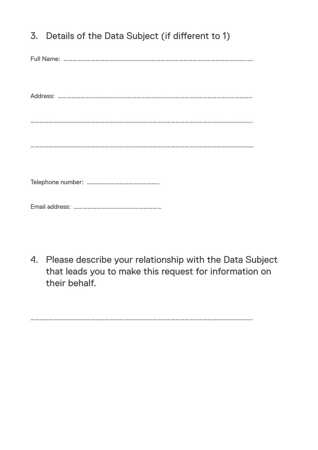| 3. Details of the Data Subject (if different to 1) |
|----------------------------------------------------|
|                                                    |
|                                                    |
|                                                    |
|                                                    |
|                                                    |
|                                                    |

4. Please describe your relationship with the Data Subject that leads you to make this request for information on their behalf.

…………………………………………………….………………………………………………………………………..